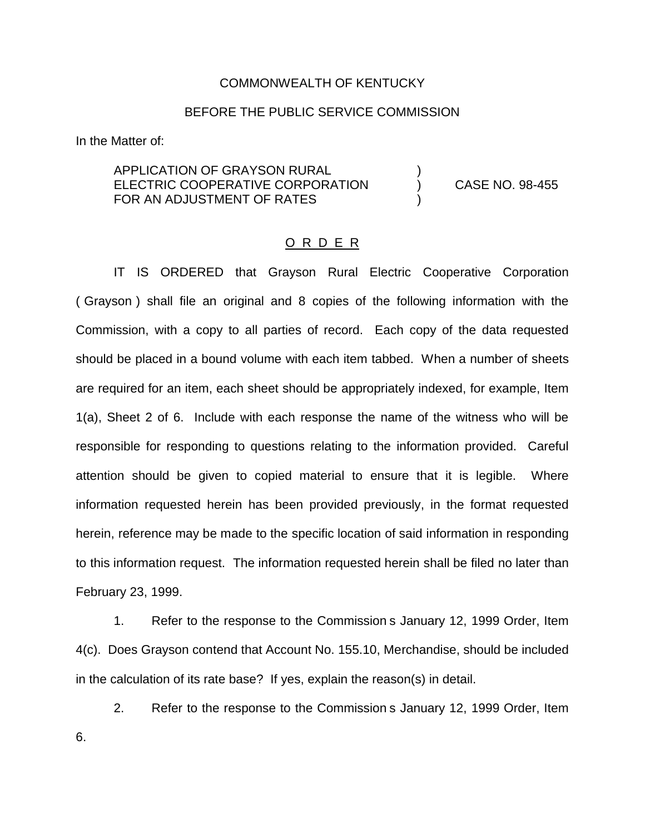## COMMONWEALTH OF KENTUCKY

## BEFORE THE PUBLIC SERVICE COMMISSION

In the Matter of:

APPLICATION OF GRAYSON RURAL ELECTRIC COOPERATIVE CORPORATION (CASE NO. 98-455) FOR AN ADJUSTMENT OF RATES

## O R D E R

IT IS ORDERED that Grayson Rural Electric Cooperative Corporation ( Grayson ) shall file an original and 8 copies of the following information with the Commission, with a copy to all parties of record. Each copy of the data requested should be placed in a bound volume with each item tabbed. When a number of sheets are required for an item, each sheet should be appropriately indexed, for example, Item 1(a), Sheet 2 of 6. Include with each response the name of the witness who will be responsible for responding to questions relating to the information provided. Careful attention should be given to copied material to ensure that it is legible. Where information requested herein has been provided previously, in the format requested herein, reference may be made to the specific location of said information in responding to this information request. The information requested herein shall be filed no later than February 23, 1999.

1. Refer to the response to the Commission s January 12, 1999 Order, Item 4(c). Does Grayson contend that Account No. 155.10, Merchandise, should be included in the calculation of its rate base? If yes, explain the reason(s) in detail.

2. Refer to the response to the Commission s January 12, 1999 Order, Item 6.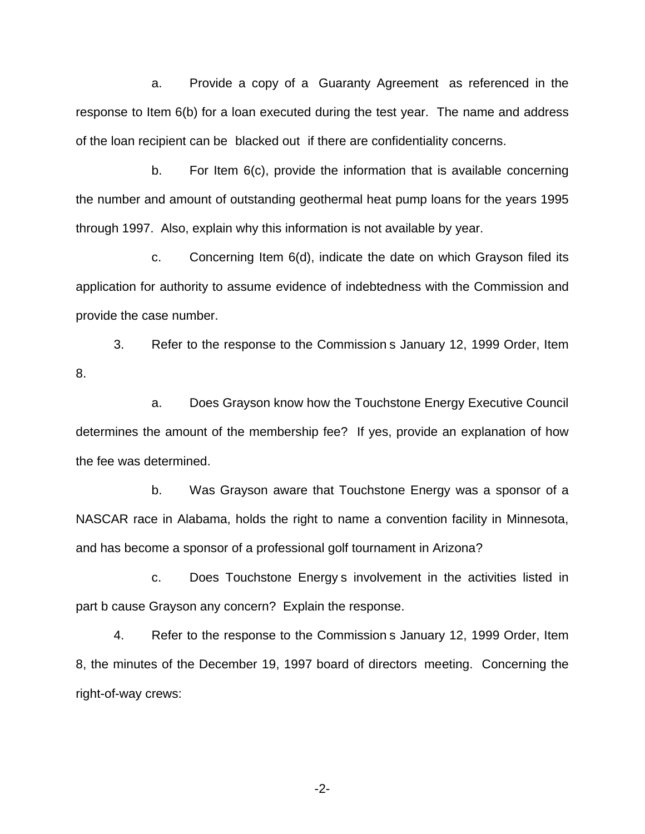a. Provide a copy of a Guaranty Agreement as referenced in the response to Item 6(b) for a loan executed during the test year. The name and address of the loan recipient can be blacked out if there are confidentiality concerns.

b. For Item 6(c), provide the information that is available concerning the number and amount of outstanding geothermal heat pump loans for the years 1995 through 1997. Also, explain why this information is not available by year.

c. Concerning Item 6(d), indicate the date on which Grayson filed its application for authority to assume evidence of indebtedness with the Commission and provide the case number.

3. Refer to the response to the Commission s January 12, 1999 Order, Item 8.

a. Does Grayson know how the Touchstone Energy Executive Council determines the amount of the membership fee? If yes, provide an explanation of how the fee was determined.

b. Was Grayson aware that Touchstone Energy was a sponsor of a NASCAR race in Alabama, holds the right to name a convention facility in Minnesota, and has become a sponsor of a professional golf tournament in Arizona?

c. Does Touchstone Energy s involvement in the activities listed in part b cause Grayson any concern? Explain the response.

4. Refer to the response to the Commission s January 12, 1999 Order, Item 8, the minutes of the December 19, 1997 board of directors meeting. Concerning the right-of-way crews:

-2-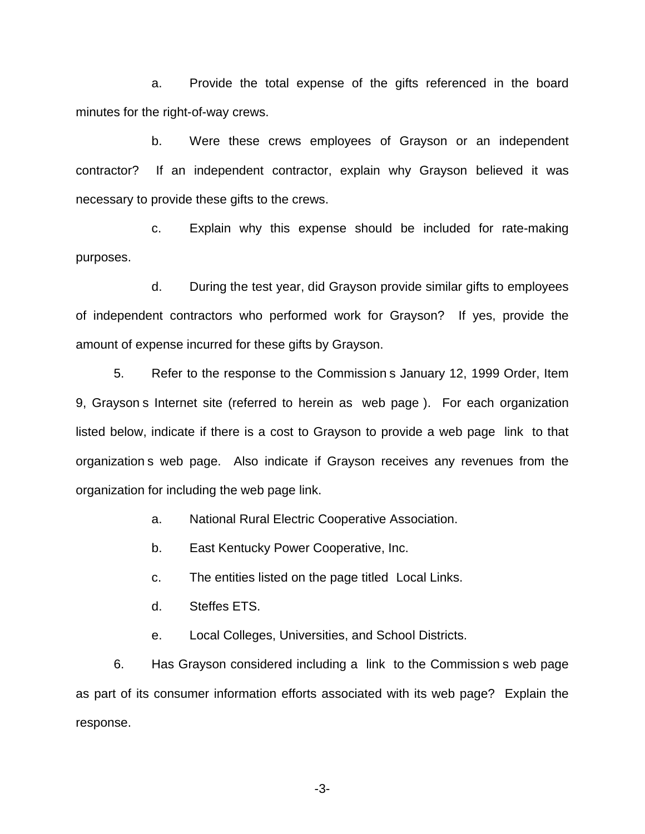a. Provide the total expense of the gifts referenced in the board minutes for the right-of-way crews.

b. Were these crews employees of Grayson or an independent contractor? If an independent contractor, explain why Grayson believed it was necessary to provide these gifts to the crews.

c. Explain why this expense should be included for rate-making purposes.

d. During the test year, did Grayson provide similar gifts to employees of independent contractors who performed work for Grayson? If yes, provide the amount of expense incurred for these gifts by Grayson.

5. Refer to the response to the Commission s January 12, 1999 Order, Item 9, Grayson s Internet site (referred to herein as web page ). For each organization listed below, indicate if there is a cost to Grayson to provide a web page link to that organization s web page. Also indicate if Grayson receives any revenues from the organization for including the web page link.

a. National Rural Electric Cooperative Association.

b. East Kentucky Power Cooperative, Inc.

c. The entities listed on the page titled Local Links.

d. Steffes ETS.

e. Local Colleges, Universities, and School Districts.

6. Has Grayson considered including a link to the Commission s web page as part of its consumer information efforts associated with its web page? Explain the response.

-3-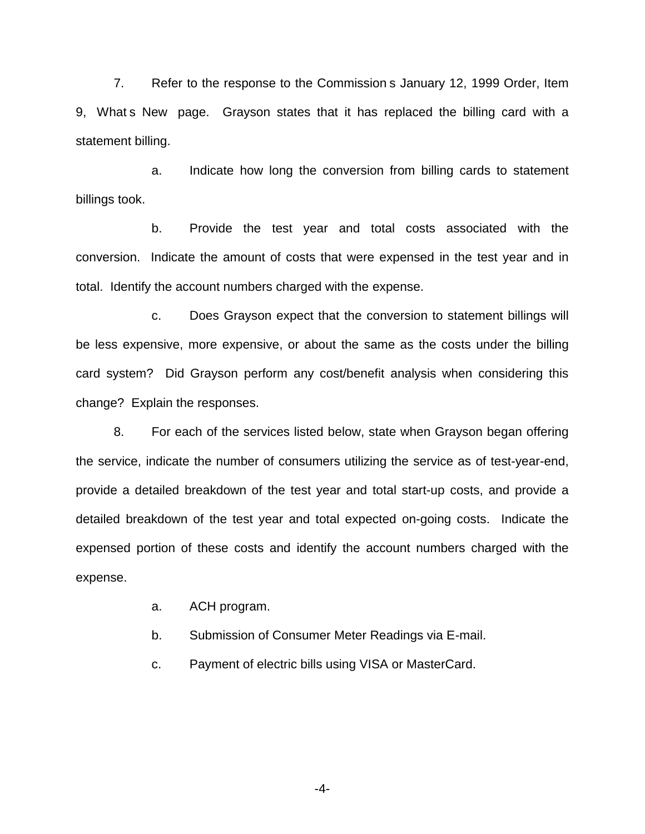7. Refer to the response to the Commission s January 12, 1999 Order, Item 9, What s New page. Grayson states that it has replaced the billing card with a statement billing.

a. Indicate how long the conversion from billing cards to statement billings took.

b. Provide the test year and total costs associated with the conversion. Indicate the amount of costs that were expensed in the test year and in total. Identify the account numbers charged with the expense.

c. Does Grayson expect that the conversion to statement billings will be less expensive, more expensive, or about the same as the costs under the billing card system? Did Grayson perform any cost/benefit analysis when considering this change? Explain the responses.

8. For each of the services listed below, state when Grayson began offering the service, indicate the number of consumers utilizing the service as of test-year-end, provide a detailed breakdown of the test year and total start-up costs, and provide a detailed breakdown of the test year and total expected on-going costs. Indicate the expensed portion of these costs and identify the account numbers charged with the expense.

- a. ACH program.
- b. Submission of Consumer Meter Readings via E-mail.
- c. Payment of electric bills using VISA or MasterCard.

-4-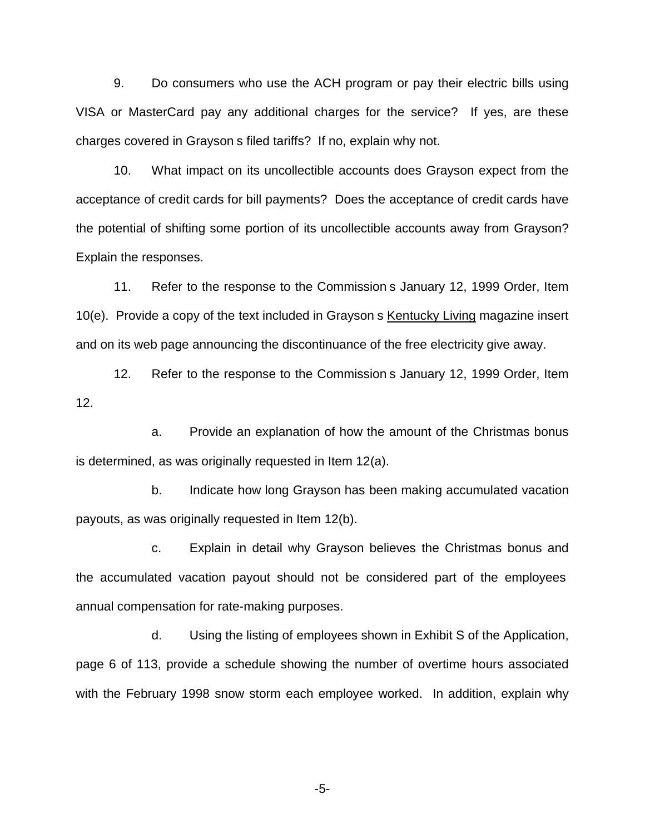9. Do consumers who use the ACH program or pay their electric bills using VISA or MasterCard pay any additional charges for the service? If yes, are these charges covered in Grayson s filed tariffs? If no, explain why not.

10. What impact on its uncollectible accounts does Grayson expect from the acceptance of credit cards for bill payments? Does the acceptance of credit cards have the potential of shifting some portion of its uncollectible accounts away from Grayson? Explain the responses.

11. Refer to the response to the Commission s January 12, 1999 Order, Item 10(e). Provide a copy of the text included in Grayson s Kentucky Living magazine insert and on its web page announcing the discontinuance of the free electricity give away.

12. Refer to the response to the Commission s January 12, 1999 Order, Item 12.

a. Provide an explanation of how the amount of the Christmas bonus is determined, as was originally requested in Item 12(a).

b. Indicate how long Grayson has been making accumulated vacation payouts, as was originally requested in Item 12(b).

c. Explain in detail why Grayson believes the Christmas bonus and the accumulated vacation payout should not be considered part of the employees annual compensation for rate-making purposes.

d. Using the listing of employees shown in Exhibit S of the Application, page 6 of 113, provide a schedule showing the number of overtime hours associated with the February 1998 snow storm each employee worked. In addition, explain why

-5-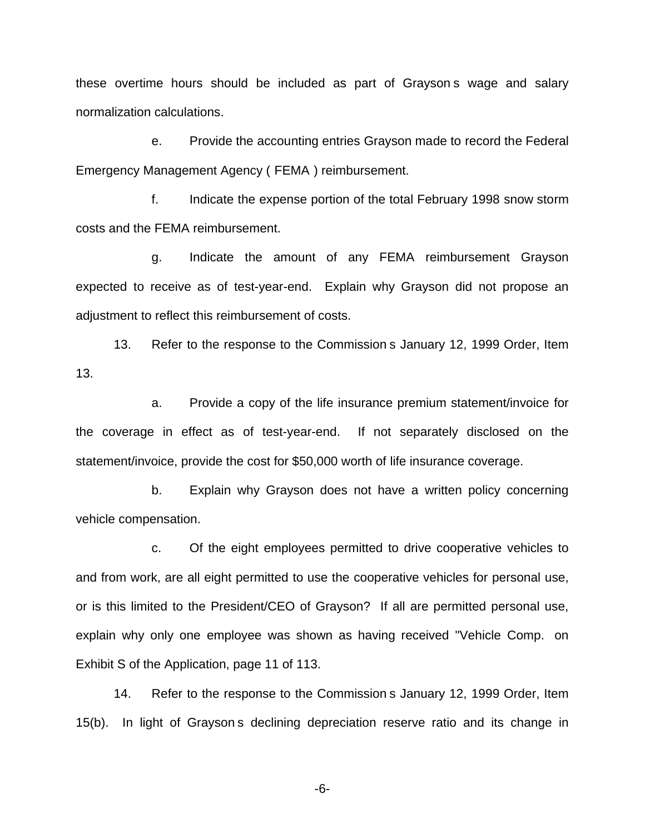these overtime hours should be included as part of Grayson s wage and salary normalization calculations.

e. Provide the accounting entries Grayson made to record the Federal Emergency Management Agency ( FEMA ) reimbursement.

f. Indicate the expense portion of the total February 1998 snow storm costs and the FEMA reimbursement.

g. Indicate the amount of any FEMA reimbursement Grayson expected to receive as of test-year-end. Explain why Grayson did not propose an adjustment to reflect this reimbursement of costs.

13. Refer to the response to the Commission s January 12, 1999 Order, Item 13.

a. Provide a copy of the life insurance premium statement/invoice for the coverage in effect as of test-year-end. If not separately disclosed on the statement/invoice, provide the cost for \$50,000 worth of life insurance coverage.

b. Explain why Grayson does not have a written policy concerning vehicle compensation.

c. Of the eight employees permitted to drive cooperative vehicles to and from work, are all eight permitted to use the cooperative vehicles for personal use, or is this limited to the President/CEO of Grayson? If all are permitted personal use, explain why only one employee was shown as having received "Vehicle Comp. on Exhibit S of the Application, page 11 of 113.

14. Refer to the response to the Commission s January 12, 1999 Order, Item 15(b). In light of Grayson s declining depreciation reserve ratio and its change in

-6-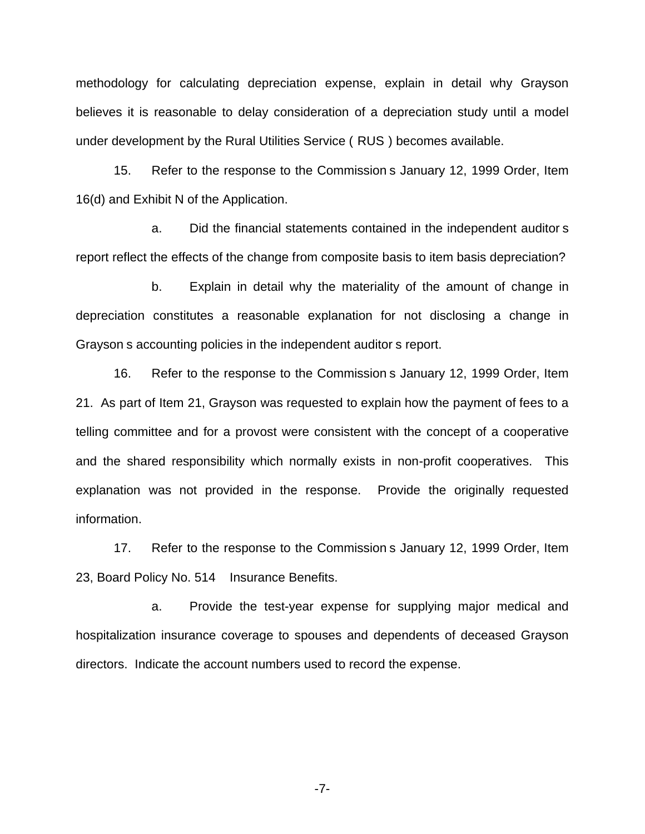methodology for calculating depreciation expense, explain in detail why Grayson believes it is reasonable to delay consideration of a depreciation study until a model under development by the Rural Utilities Service ( RUS ) becomes available.

15. Refer to the response to the Commission s January 12, 1999 Order, Item 16(d) and Exhibit N of the Application.

a. Did the financial statements contained in the independent auditor s report reflect the effects of the change from composite basis to item basis depreciation?

b. Explain in detail why the materiality of the amount of change in depreciation constitutes a reasonable explanation for not disclosing a change in Grayson s accounting policies in the independent auditor s report.

16. Refer to the response to the Commission s January 12, 1999 Order, Item 21. As part of Item 21, Grayson was requested to explain how the payment of fees to a telling committee and for a provost were consistent with the concept of a cooperative and the shared responsibility which normally exists in non-profit cooperatives. This explanation was not provided in the response. Provide the originally requested information.

17. Refer to the response to the Commission s January 12, 1999 Order, Item 23, Board Policy No. 514 Insurance Benefits.

a. Provide the test-year expense for supplying major medical and hospitalization insurance coverage to spouses and dependents of deceased Grayson directors. Indicate the account numbers used to record the expense.

-7-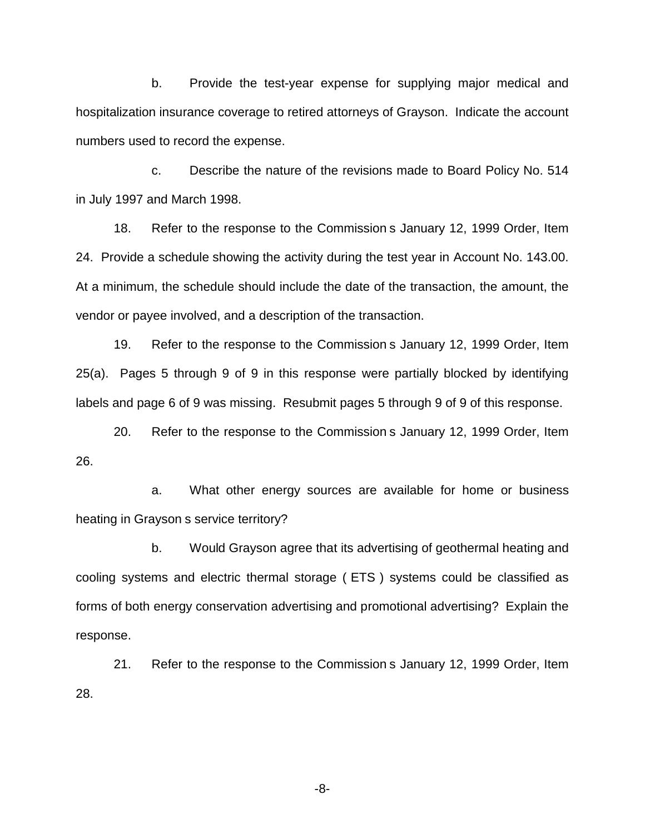b. Provide the test-year expense for supplying major medical and hospitalization insurance coverage to retired attorneys of Grayson. Indicate the account numbers used to record the expense.

c. Describe the nature of the revisions made to Board Policy No. 514 in July 1997 and March 1998.

18. Refer to the response to the Commission s January 12, 1999 Order, Item 24. Provide a schedule showing the activity during the test year in Account No. 143.00. At a minimum, the schedule should include the date of the transaction, the amount, the vendor or payee involved, and a description of the transaction.

19. Refer to the response to the Commission s January 12, 1999 Order, Item 25(a). Pages 5 through 9 of 9 in this response were partially blocked by identifying labels and page 6 of 9 was missing. Resubmit pages 5 through 9 of 9 of this response.

20. Refer to the response to the Commission s January 12, 1999 Order, Item 26.

a. What other energy sources are available for home or business heating in Grayson s service territory?

b. Would Grayson agree that its advertising of geothermal heating and cooling systems and electric thermal storage ( ETS ) systems could be classified as forms of both energy conservation advertising and promotional advertising? Explain the response.

21. Refer to the response to the Commission s January 12, 1999 Order, Item 28.

-8-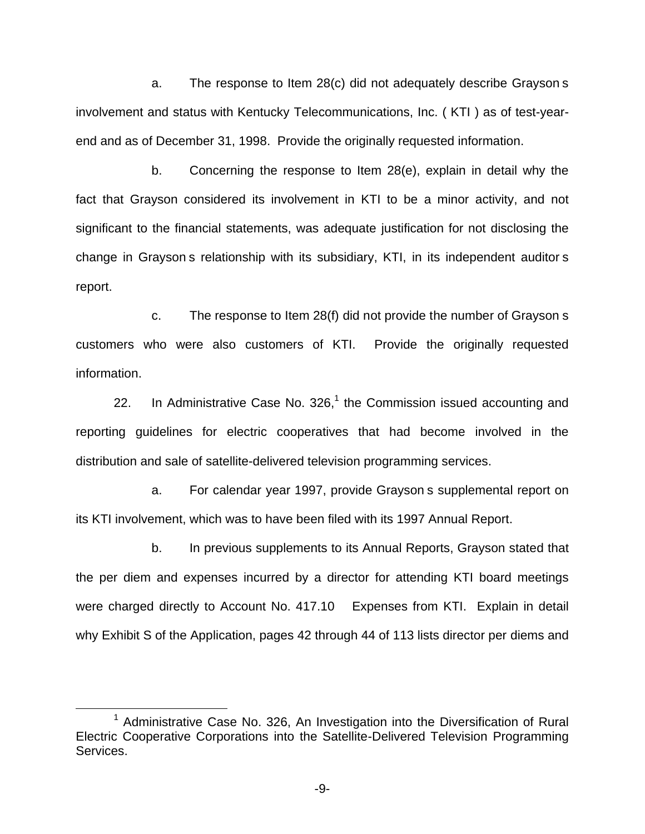a. The response to Item 28(c) did not adequately describe Grayson s involvement and status with Kentucky Telecommunications, Inc. ( KTI ) as of test-yearend and as of December 31, 1998. Provide the originally requested information.

b. Concerning the response to Item 28(e), explain in detail why the fact that Grayson considered its involvement in KTI to be a minor activity, and not significant to the financial statements, was adequate justification for not disclosing the change in Grayson s relationship with its subsidiary, KTI, in its independent auditor s report.

c. The response to Item 28(f) did not provide the number of Grayson s customers who were also customers of KTI. Provide the originally requested information.

22. In Administrative Case No.  $326<sup>1</sup>$  the Commission issued accounting and reporting guidelines for electric cooperatives that had become involved in the distribution and sale of satellite-delivered television programming services.

a. For calendar year 1997, provide Grayson s supplemental report on its KTI involvement, which was to have been filed with its 1997 Annual Report.

b. In previous supplements to its Annual Reports, Grayson stated that the per diem and expenses incurred by a director for attending KTI board meetings were charged directly to Account No. 417.10 Expenses from KTI. Explain in detail why Exhibit S of the Application, pages 42 through 44 of 113 lists director per diems and

 $1$  Administrative Case No. 326, An Investigation into the Diversification of Rural Electric Cooperative Corporations into the Satellite-Delivered Television Programming Services.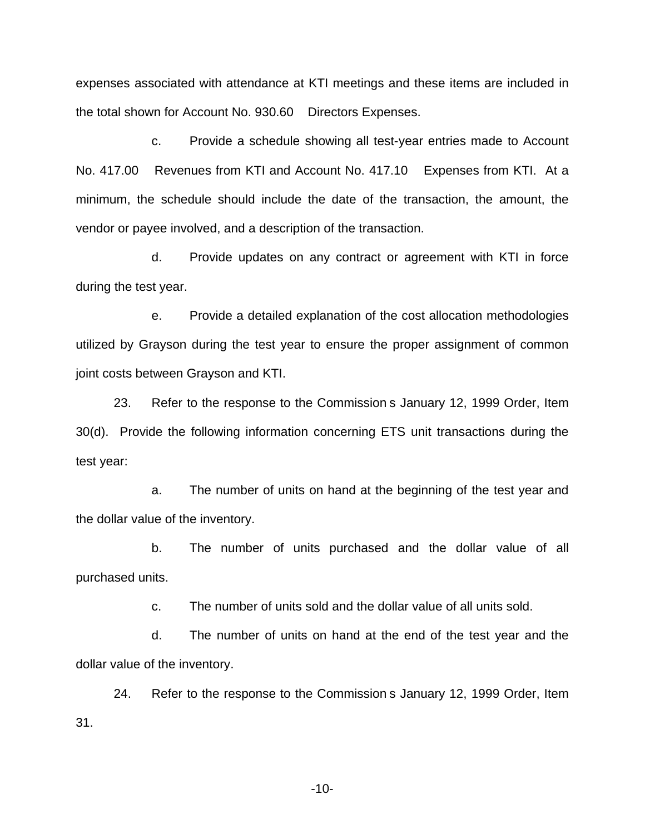expenses associated with attendance at KTI meetings and these items are included in the total shown for Account No. 930.60 Directors Expenses.

c. Provide a schedule showing all test-year entries made to Account No. 417.00 Revenues from KTI and Account No. 417.10 Expenses from KTI. At a minimum, the schedule should include the date of the transaction, the amount, the vendor or payee involved, and a description of the transaction.

d. Provide updates on any contract or agreement with KTI in force during the test year.

e. Provide a detailed explanation of the cost allocation methodologies utilized by Grayson during the test year to ensure the proper assignment of common joint costs between Grayson and KTI.

23. Refer to the response to the Commission s January 12, 1999 Order, Item 30(d). Provide the following information concerning ETS unit transactions during the test year:

a. The number of units on hand at the beginning of the test year and the dollar value of the inventory.

b. The number of units purchased and the dollar value of all purchased units.

c. The number of units sold and the dollar value of all units sold.

d. The number of units on hand at the end of the test year and the dollar value of the inventory.

24. Refer to the response to the Commission s January 12, 1999 Order, Item 31.

-10-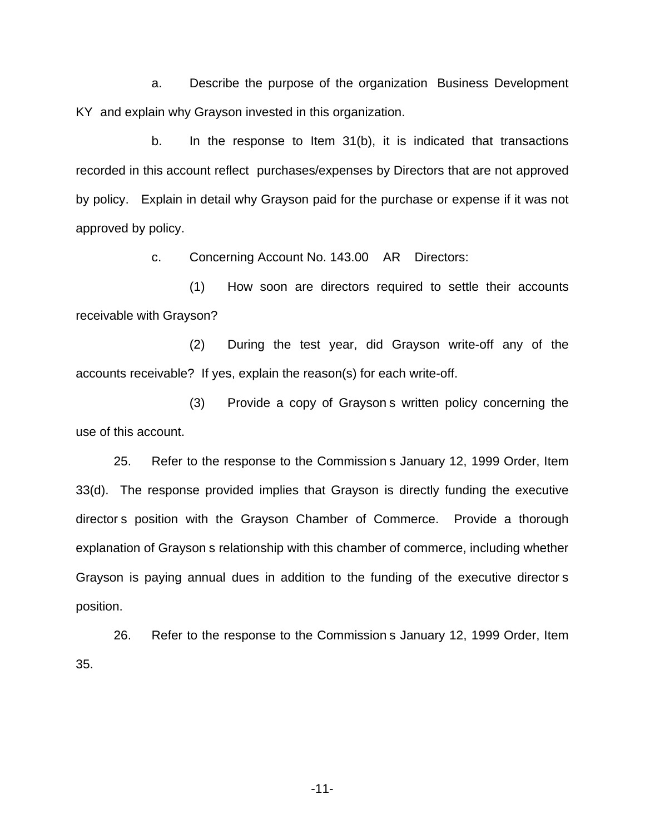a. Describe the purpose of the organization Business Development KY and explain why Grayson invested in this organization.

b. In the response to Item 31(b), it is indicated that transactions recorded in this account reflect purchases/expenses by Directors that are not approved by policy. Explain in detail why Grayson paid for the purchase or expense if it was not approved by policy.

c. Concerning Account No. 143.00 AR Directors:

(1) How soon are directors required to settle their accounts receivable with Grayson?

(2) During the test year, did Grayson write-off any of the accounts receivable? If yes, explain the reason(s) for each write-off.

(3) Provide a copy of Grayson s written policy concerning the use of this account.

25. Refer to the response to the Commission s January 12, 1999 Order, Item 33(d). The response provided implies that Grayson is directly funding the executive director s position with the Grayson Chamber of Commerce. Provide a thorough explanation of Grayson s relationship with this chamber of commerce, including whether Grayson is paying annual dues in addition to the funding of the executive director s position.

26. Refer to the response to the Commission s January 12, 1999 Order, Item 35.

-11-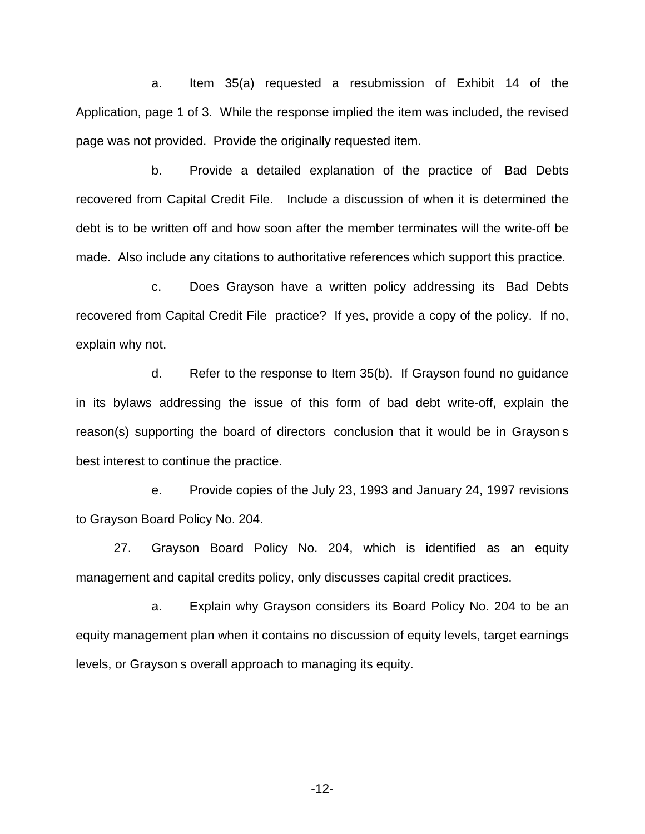a. Item 35(a) requested a resubmission of Exhibit 14 of the Application, page 1 of 3. While the response implied the item was included, the revised page was not provided. Provide the originally requested item.

b. Provide a detailed explanation of the practice of Bad Debts recovered from Capital Credit File. Include a discussion of when it is determined the debt is to be written off and how soon after the member terminates will the write-off be made. Also include any citations to authoritative references which support this practice.

c. Does Grayson have a written policy addressing its Bad Debts recovered from Capital Credit File practice? If yes, provide a copy of the policy. If no, explain why not.

d. Refer to the response to Item 35(b). If Grayson found no guidance in its bylaws addressing the issue of this form of bad debt write-off, explain the reason(s) supporting the board of directors conclusion that it would be in Grayson s best interest to continue the practice.

e. Provide copies of the July 23, 1993 and January 24, 1997 revisions to Grayson Board Policy No. 204.

27. Grayson Board Policy No. 204, which is identified as an equity management and capital credits policy, only discusses capital credit practices.

a. Explain why Grayson considers its Board Policy No. 204 to be an equity management plan when it contains no discussion of equity levels, target earnings levels, or Grayson s overall approach to managing its equity.

-12-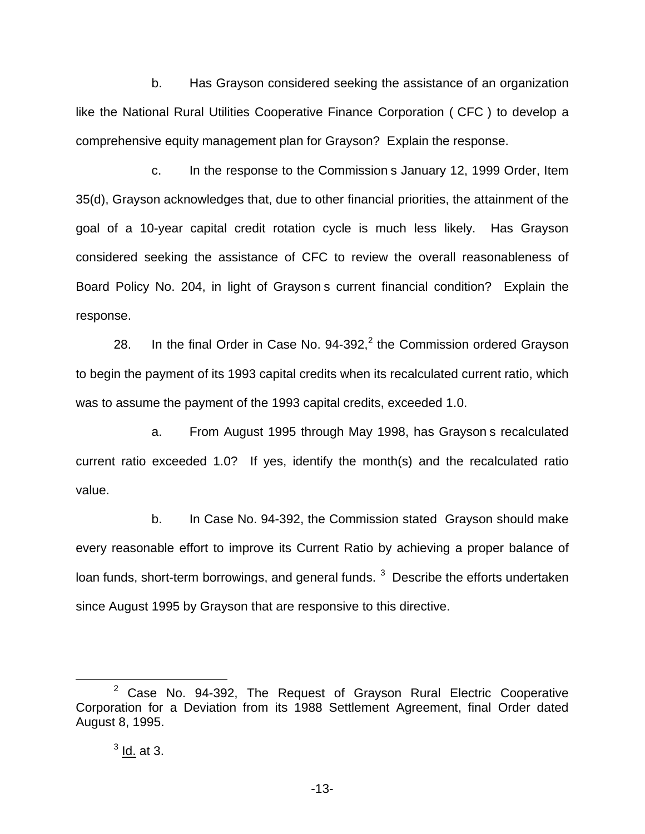b. Has Grayson considered seeking the assistance of an organization like the National Rural Utilities Cooperative Finance Corporation ( CFC ) to develop a comprehensive equity management plan for Grayson? Explain the response.

c. In the response to the Commission s January 12, 1999 Order, Item 35(d), Grayson acknowledges that, due to other financial priorities, the attainment of the goal of a 10-year capital credit rotation cycle is much less likely. Has Grayson considered seeking the assistance of CFC to review the overall reasonableness of Board Policy No. 204, in light of Grayson s current financial condition? Explain the response.

28. In the final Order in Case No.  $94-392$ , the Commission ordered Grayson to begin the payment of its 1993 capital credits when its recalculated current ratio, which was to assume the payment of the 1993 capital credits, exceeded 1.0.

a. From August 1995 through May 1998, has Grayson s recalculated current ratio exceeded 1.0? If yes, identify the month(s) and the recalculated ratio value.

b. In Case No. 94-392, the Commission stated Grayson should make every reasonable effort to improve its Current Ratio by achieving a proper balance of loan funds, short-term borrowings, and general funds.  $3$  Describe the efforts undertaken since August 1995 by Grayson that are responsive to this directive.

 $2$  Case No. 94-392, The Request of Grayson Rural Electric Cooperative Corporation for a Deviation from its 1988 Settlement Agreement, final Order dated August 8, 1995.

 $<sup>3</sup>$  Id. at 3.</sup>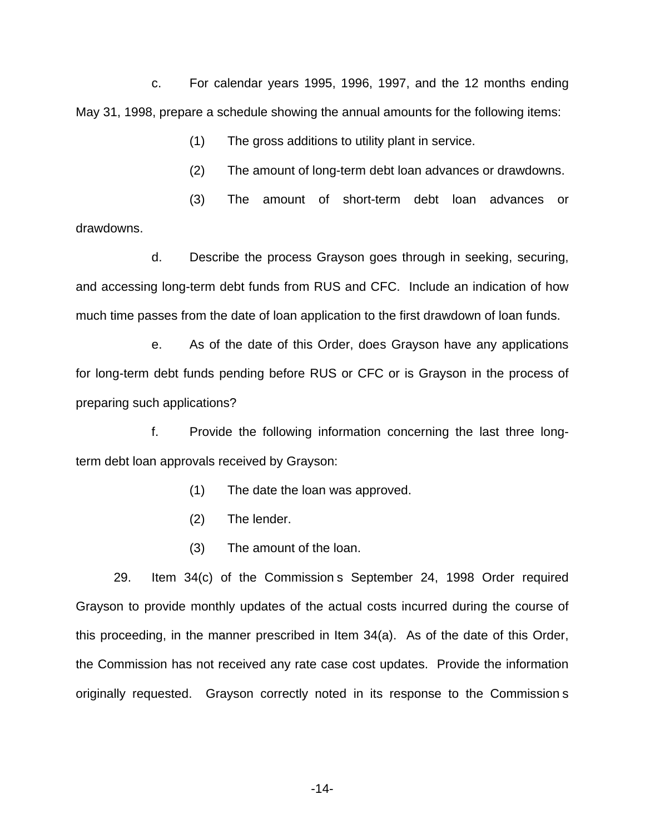c. For calendar years 1995, 1996, 1997, and the 12 months ending May 31, 1998, prepare a schedule showing the annual amounts for the following items:

(1) The gross additions to utility plant in service.

(2) The amount of long-term debt loan advances or drawdowns.

(3) The amount of short-term debt loan advances or drawdowns.

d. Describe the process Grayson goes through in seeking, securing, and accessing long-term debt funds from RUS and CFC. Include an indication of how much time passes from the date of loan application to the first drawdown of loan funds.

e. As of the date of this Order, does Grayson have any applications for long-term debt funds pending before RUS or CFC or is Grayson in the process of preparing such applications?

f. Provide the following information concerning the last three longterm debt loan approvals received by Grayson:

(1) The date the loan was approved.

- (2) The lender.
- (3) The amount of the loan.

29. Item 34(c) of the Commission s September 24, 1998 Order required Grayson to provide monthly updates of the actual costs incurred during the course of this proceeding, in the manner prescribed in Item 34(a). As of the date of this Order, the Commission has not received any rate case cost updates. Provide the information originally requested. Grayson correctly noted in its response to the Commission s

-14-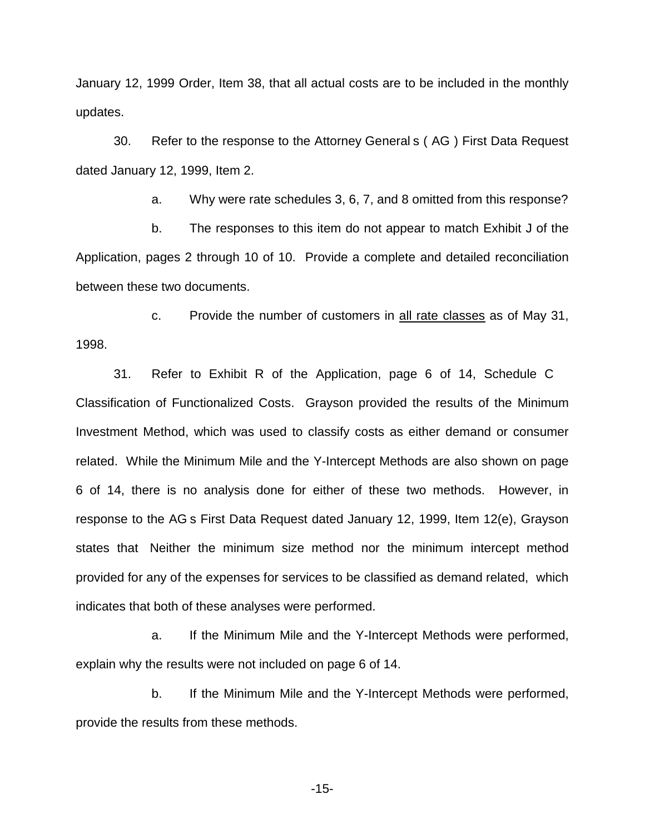January 12, 1999 Order, Item 38, that all actual costs are to be included in the monthly updates.

30. Refer to the response to the Attorney General s ( AG ) First Data Request dated January 12, 1999, Item 2.

a. Why were rate schedules 3, 6, 7, and 8 omitted from this response?

b. The responses to this item do not appear to match Exhibit J of the Application, pages 2 through 10 of 10. Provide a complete and detailed reconciliation between these two documents.

c. Provide the number of customers in all rate classes as of May 31, 1998.

31. Refer to Exhibit R of the Application, page 6 of 14, Schedule C Classification of Functionalized Costs. Grayson provided the results of the Minimum Investment Method, which was used to classify costs as either demand or consumer related. While the Minimum Mile and the Y-Intercept Methods are also shown on page 6 of 14, there is no analysis done for either of these two methods. However, in response to the AG s First Data Request dated January 12, 1999, Item 12(e), Grayson states that Neither the minimum size method nor the minimum intercept method provided for any of the expenses for services to be classified as demand related, which indicates that both of these analyses were performed.

a. If the Minimum Mile and the Y-Intercept Methods were performed, explain why the results were not included on page 6 of 14.

b. If the Minimum Mile and the Y-Intercept Methods were performed, provide the results from these methods.

-15-